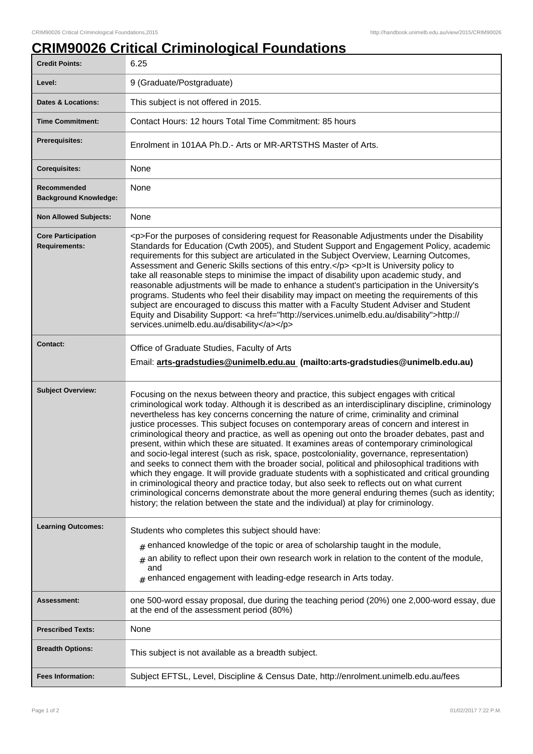## **CRIM90026 Critical Criminological Foundations**

| <b>Credit Points:</b>                             | 6.25                                                                                                                                                                                                                                                                                                                                                                                                                                                                                                                                                                                                                                                                                                                                                                                                                                                                                                                                                                                                                                                                                                                                                                          |
|---------------------------------------------------|-------------------------------------------------------------------------------------------------------------------------------------------------------------------------------------------------------------------------------------------------------------------------------------------------------------------------------------------------------------------------------------------------------------------------------------------------------------------------------------------------------------------------------------------------------------------------------------------------------------------------------------------------------------------------------------------------------------------------------------------------------------------------------------------------------------------------------------------------------------------------------------------------------------------------------------------------------------------------------------------------------------------------------------------------------------------------------------------------------------------------------------------------------------------------------|
| Level:                                            | 9 (Graduate/Postgraduate)                                                                                                                                                                                                                                                                                                                                                                                                                                                                                                                                                                                                                                                                                                                                                                                                                                                                                                                                                                                                                                                                                                                                                     |
| <b>Dates &amp; Locations:</b>                     | This subject is not offered in 2015.                                                                                                                                                                                                                                                                                                                                                                                                                                                                                                                                                                                                                                                                                                                                                                                                                                                                                                                                                                                                                                                                                                                                          |
| <b>Time Commitment:</b>                           | Contact Hours: 12 hours Total Time Commitment: 85 hours                                                                                                                                                                                                                                                                                                                                                                                                                                                                                                                                                                                                                                                                                                                                                                                                                                                                                                                                                                                                                                                                                                                       |
| <b>Prerequisites:</b>                             | Enrolment in 101AA Ph.D.- Arts or MR-ARTSTHS Master of Arts.                                                                                                                                                                                                                                                                                                                                                                                                                                                                                                                                                                                                                                                                                                                                                                                                                                                                                                                                                                                                                                                                                                                  |
| <b>Corequisites:</b>                              | None                                                                                                                                                                                                                                                                                                                                                                                                                                                                                                                                                                                                                                                                                                                                                                                                                                                                                                                                                                                                                                                                                                                                                                          |
| Recommended<br><b>Background Knowledge:</b>       | None                                                                                                                                                                                                                                                                                                                                                                                                                                                                                                                                                                                                                                                                                                                                                                                                                                                                                                                                                                                                                                                                                                                                                                          |
| <b>Non Allowed Subjects:</b>                      | None                                                                                                                                                                                                                                                                                                                                                                                                                                                                                                                                                                                                                                                                                                                                                                                                                                                                                                                                                                                                                                                                                                                                                                          |
| <b>Core Participation</b><br><b>Requirements:</b> | <p>For the purposes of considering request for Reasonable Adjustments under the Disability<br/>Standards for Education (Cwth 2005), and Student Support and Engagement Policy, academic<br/>requirements for this subject are articulated in the Subject Overview, Learning Outcomes,<br/>Assessment and Generic Skills sections of this entry.</p> <p>lt is University policy to<br/>take all reasonable steps to minimise the impact of disability upon academic study, and<br/>reasonable adjustments will be made to enhance a student's participation in the University's<br/>programs. Students who feel their disability may impact on meeting the requirements of this<br/>subject are encouraged to discuss this matter with a Faculty Student Adviser and Student<br/>Equity and Disability Support: <a href="http://services.unimelb.edu.au/disability">http://<br/>services.unimelb.edu.au/disability</a></p>                                                                                                                                                                                                                                                     |
| <b>Contact:</b>                                   | Office of Graduate Studies, Faculty of Arts                                                                                                                                                                                                                                                                                                                                                                                                                                                                                                                                                                                                                                                                                                                                                                                                                                                                                                                                                                                                                                                                                                                                   |
|                                                   | Email: arts-gradstudies@unimelb.edu.au (mailto:arts-gradstudies@unimelb.edu.au)                                                                                                                                                                                                                                                                                                                                                                                                                                                                                                                                                                                                                                                                                                                                                                                                                                                                                                                                                                                                                                                                                               |
| <b>Subject Overview:</b>                          | Focusing on the nexus between theory and practice, this subject engages with critical<br>criminological work today. Although it is described as an interdisciplinary discipline, criminology<br>nevertheless has key concerns concerning the nature of crime, criminality and criminal<br>justice processes. This subject focuses on contemporary areas of concern and interest in<br>criminological theory and practice, as well as opening out onto the broader debates, past and<br>present, within which these are situated. It examines areas of contemporary criminological<br>and socio-legal interest (such as risk, space, postcoloniality, governance, representation)<br>and seeks to connect them with the broader social, political and philosophical traditions with<br>which they engage. It will provide graduate students with a sophisticated and critical grounding<br>in criminological theory and practice today, but also seek to reflects out on what current<br>criminological concerns demonstrate about the more general enduring themes (such as identity;<br>history; the relation between the state and the individual) at play for criminology. |
| <b>Learning Outcomes:</b>                         | Students who completes this subject should have:<br>$#$ enhanced knowledge of the topic or area of scholarship taught in the module,<br>$_{\text{\#}}$ an ability to reflect upon their own research work in relation to the content of the module,<br>and<br>$#$ enhanced engagement with leading-edge research in Arts today.                                                                                                                                                                                                                                                                                                                                                                                                                                                                                                                                                                                                                                                                                                                                                                                                                                               |
| Assessment:                                       | one 500-word essay proposal, due during the teaching period (20%) one 2,000-word essay, due<br>at the end of the assessment period (80%)                                                                                                                                                                                                                                                                                                                                                                                                                                                                                                                                                                                                                                                                                                                                                                                                                                                                                                                                                                                                                                      |
| <b>Prescribed Texts:</b>                          | None                                                                                                                                                                                                                                                                                                                                                                                                                                                                                                                                                                                                                                                                                                                                                                                                                                                                                                                                                                                                                                                                                                                                                                          |
| <b>Breadth Options:</b>                           | This subject is not available as a breadth subject.                                                                                                                                                                                                                                                                                                                                                                                                                                                                                                                                                                                                                                                                                                                                                                                                                                                                                                                                                                                                                                                                                                                           |
| <b>Fees Information:</b>                          | Subject EFTSL, Level, Discipline & Census Date, http://enrolment.unimelb.edu.au/fees                                                                                                                                                                                                                                                                                                                                                                                                                                                                                                                                                                                                                                                                                                                                                                                                                                                                                                                                                                                                                                                                                          |